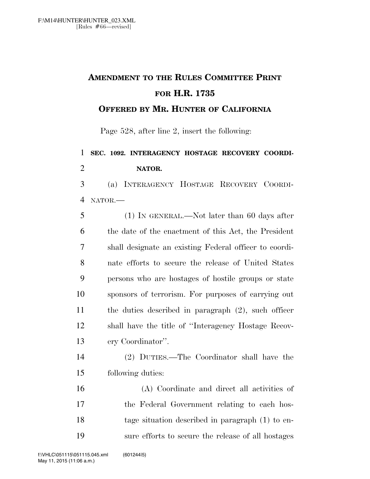## **AMENDMENT TO THE RULES COMMITTEE PRINT FOR H.R. 1735**

**OFFERED BY MR. HUNTER OF CALIFORNIA**

Page 528, after line 2, insert the following:

## **SEC. 1092. INTERAGENCY HOSTAGE RECOVERY COORDI-NATOR.**

 (a) INTERAGENCY HOSTAGE RECOVERY COORDI-NATOR.—

 (1) IN GENERAL.—Not later than 60 days after the date of the enactment of this Act, the President shall designate an existing Federal officer to coordi- nate efforts to secure the release of United States persons who are hostages of hostile groups or state sponsors of terrorism. For purposes of carrying out the duties described in paragraph (2), such officer shall have the title of ''Interagency Hostage Recov-ery Coordinator''.

 (2) DUTIES.—The Coordinator shall have the following duties:

 (A) Coordinate and direct all activities of the Federal Government relating to each hos- tage situation described in paragraph (1) to en-sure efforts to secure the release of all hostages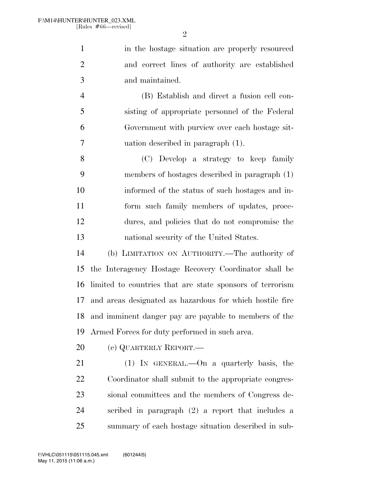$\mathfrak{D}$ 

1 in the hostage situation are properly resourced and correct lines of authority are established and maintained.

 (B) Establish and direct a fusion cell con- sisting of appropriate personnel of the Federal Government with purview over each hostage sit-uation described in paragraph (1).

 (C) Develop a strategy to keep family members of hostages described in paragraph (1) informed of the status of such hostages and in- form such family members of updates, proce- dures, and policies that do not compromise the national security of the United States.

 (b) LIMITATION ON AUTHORITY.—The authority of the Interagency Hostage Recovery Coordinator shall be limited to countries that are state sponsors of terrorism and areas designated as hazardous for which hostile fire and imminent danger pay are payable to members of the Armed Forces for duty performed in such area.

20 (c) QUARTERLY REPORT.—

 (1) IN GENERAL.—On a quarterly basis, the Coordinator shall submit to the appropriate congres- sional committees and the members of Congress de- scribed in paragraph (2) a report that includes a summary of each hostage situation described in sub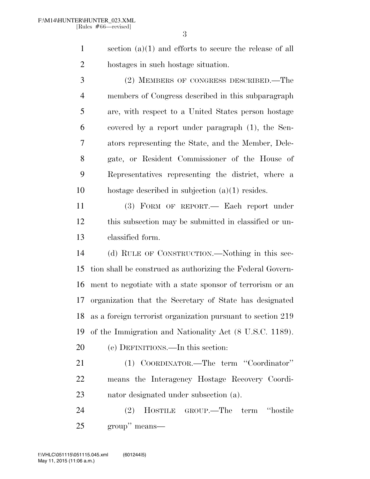section (a)(1) and efforts to secure the release of all hostages in such hostage situation.

 (2) MEMBERS OF CONGRESS DESCRIBED.—The members of Congress described in this subparagraph are, with respect to a United States person hostage covered by a report under paragraph (1), the Sen- ators representing the State, and the Member, Dele- gate, or Resident Commissioner of the House of Representatives representing the district, where a hostage described in subjection (a)(1) resides.

 (3) FORM OF REPORT.— Each report under this subsection may be submitted in classified or un-classified form.

 (d) RULE OF CONSTRUCTION.—Nothing in this sec- tion shall be construed as authorizing the Federal Govern- ment to negotiate with a state sponsor of terrorism or an organization that the Secretary of State has designated as a foreign terrorist organization pursuant to section 219 of the Immigration and Nationality Act (8 U.S.C. 1189).

(e) DEFINITIONS.—In this section:

 (1) COORDINATOR.—The term ''Coordinator'' means the Interagency Hostage Recovery Coordi-nator designated under subsection (a).

 (2) HOSTILE GROUP.—The term ''hostile group'' means